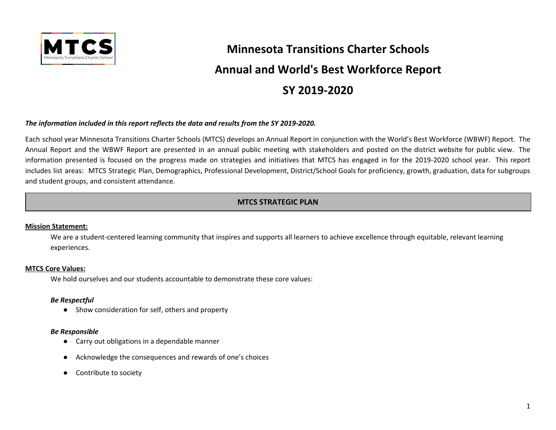

# **Minnesota Transitions Charter Schools Annual and World's Best Workforce Report SY 2019-2020**

#### *The information included in this report reflects the data and results from the SY 2019-2020.*

Each school year Minnesota Transitions Charter Schools (MTCS) develops an Annual Report in conjunction with the World's Best Workforce (WBWF) Report. The Annual Report and the WBWF Report are presented in an annual public meeting with stakeholders and posted on the district website for public view. The information presented is focused on the progress made on strategies and initiatives that MTCS has engaged in for the 2019-2020 school year. This report includes list areas: MTCS Strategic Plan, Demographics, Professional Development, District/School Goals for proficiency, growth, graduation, data for subgroups and student groups, and consistent attendance.

# **MTCS STRATEGIC PLAN**

#### **Mission Statement:**

We are a student-centered learning community that inspires and supports all learners to achieve excellence through equitable, relevant learning experiences.

#### **MTCS Core Values:**

We hold ourselves and our students accountable to demonstrate these core values:

#### *Be Respectful*

● Show consideration for self, others and property

#### *Be Responsible*

- Carry out obligations in a dependable manner
- Acknowledge the consequences and rewards of one's choices
- Contribute to society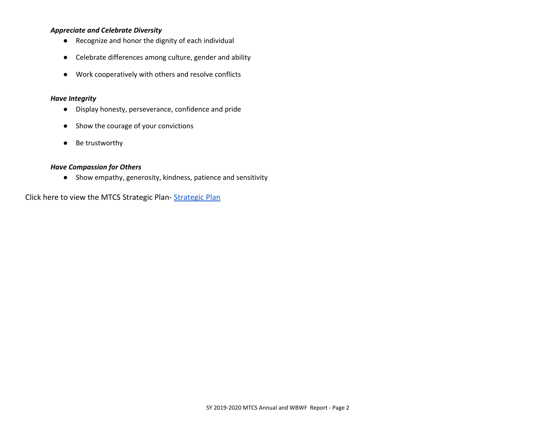#### *Appreciate and Celebrate Diversity*

- Recognize and honor the dignity of each individual
- Celebrate differences among culture, gender and ability
- Work cooperatively with others and resolve conflicts

#### *Have Integrity*

- Display honesty, perseverance, confidence and pride
- Show the courage of your convictions
- Be trustworthy

#### *Have Compassion for Others*

● Show empathy, generosity, kindness, patience and sensitivity

Click here to view the MTCS Strategic Plan- [Strategic Plan](https://mtcs.org/board-of-directors/)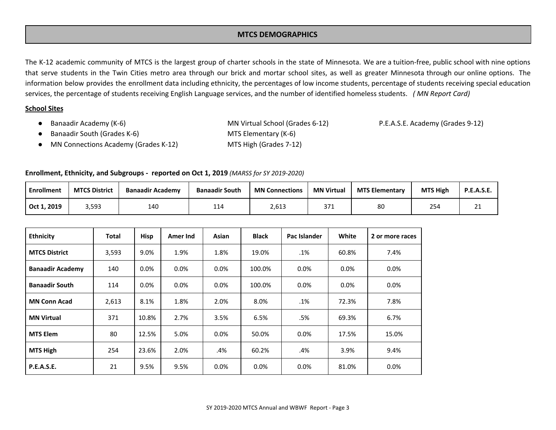#### **MTCS DEMOGRAPHICS**

The K-12 academic community of MTCS is the largest group of charter schools in the state of Minnesota. We are a tuition-free, public school with nine options that serve students in the Twin Cities metro area through our brick and mortar school sites, as well as greater Minnesota through our online options. The information below provides the enrollment data including ethnicity, the percentages of low income students, percentage of students receiving special education services, the percentage of students receiving English Language services, and the number of identified homeless students. *( MN Report Card)*

#### **School Sites**

● Banaadir Academy (K-6) MN Virtual School (Grades 6-12) P.E.A.S.E. Academy (Grades 9-12) Banaadir South (Grades K-6) MTS Elementary (K-6) ● MN Connections Academy (Grades K-12) MTS High (Grades 7-12)

#### **Enrollment, Ethnicity, and Subgroups - reported on Oct 1, 2019** *(MARSS for SY 2019-2020)*

| <b>Enrollment</b> | <b>MTCS District</b> | <b>Banaadir Academy</b> | <b>Banaadir South</b> | <b>MN Connections</b> | <b>MN Virtual</b> | <b>MTS Elementary</b> | <b>MTS High</b> | <b>P.E.A.S.E.</b> |
|-------------------|----------------------|-------------------------|-----------------------|-----------------------|-------------------|-----------------------|-----------------|-------------------|
| Oct 1, 2019       | 3,593                | 140                     | 114                   | 2,613                 | ירר<br>ر ر        | 80                    | 254             | ᅀᅩ                |

| <b>Ethnicity</b>        | Total | <b>Hisp</b> | Amer Ind | Asian   | <b>Black</b> | Pac Islander | White   | 2 or more races |
|-------------------------|-------|-------------|----------|---------|--------------|--------------|---------|-----------------|
| <b>MTCS District</b>    | 3,593 | 9.0%        | 1.9%     | 1.8%    | 19.0%        | .1%          | 60.8%   | 7.4%            |
| <b>Banaadir Academy</b> | 140   | $0.0\%$     | 0.0%     | 0.0%    | 100.0%       | 0.0%         | $0.0\%$ | $0.0\%$         |
| <b>Banaadir South</b>   | 114   | $0.0\%$     | 0.0%     | 0.0%    | 100.0%       | 0.0%         | $0.0\%$ | 0.0%            |
| <b>MN Conn Acad</b>     | 2,613 | 8.1%        | 1.8%     | 2.0%    | 8.0%         | .1%          | 72.3%   | 7.8%            |
| <b>MN Virtual</b>       | 371   | 10.8%       | 2.7%     | 3.5%    | 6.5%         | .5%          | 69.3%   | 6.7%            |
| <b>MTS Elem</b>         | 80    | 12.5%       | 5.0%     | 0.0%    | 50.0%        | 0.0%         | 17.5%   | 15.0%           |
| <b>MTS High</b>         | 254   | 23.6%       | 2.0%     | .4%     | 60.2%        | .4%          | 3.9%    | 9.4%            |
| <b>P.E.A.S.E.</b>       | 21    | 9.5%        | 9.5%     | $0.0\%$ | $0.0\%$      | 0.0%         | 81.0%   | 0.0%            |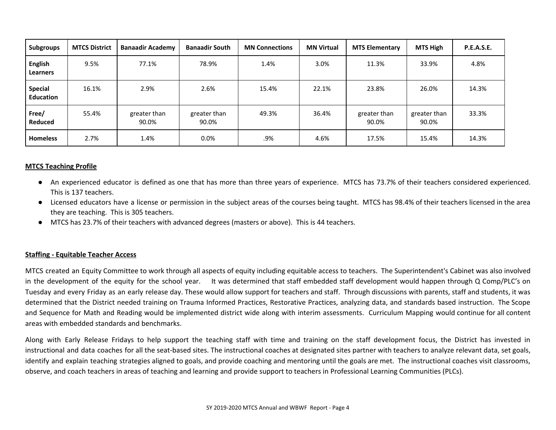| <b>Subgroups</b>                   | <b>MTCS District</b> | <b>Banaadir Academy</b> | <b>Banaadir South</b> | <b>MN Connections</b> | <b>MN Virtual</b> | <b>MTS Elementary</b> | MTS High              | <b>P.E.A.S.E.</b> |
|------------------------------------|----------------------|-------------------------|-----------------------|-----------------------|-------------------|-----------------------|-----------------------|-------------------|
| <b>English</b><br><b>Learners</b>  | 9.5%                 | 77.1%                   | 78.9%                 | 1.4%                  | 3.0%              | 11.3%                 | 33.9%                 | 4.8%              |
| <b>Special</b><br><b>Education</b> | 16.1%                | 2.9%                    | 2.6%                  | 15.4%                 | 22.1%             | 23.8%                 | 26.0%                 | 14.3%             |
| Free/<br>Reduced                   | 55.4%                | greater than<br>90.0%   | greater than<br>90.0% | 49.3%                 | 36.4%             | greater than<br>90.0% | greater than<br>90.0% | 33.3%             |
| <b>Homeless</b>                    | 2.7%                 | 1.4%                    | $0.0\%$               | .9%                   | 4.6%              | 17.5%                 | 15.4%                 | 14.3%             |

#### **MTCS Teaching Profile**

- An experienced educator is defined as one that has more than three years of experience. MTCS has 73.7% of their teachers considered experienced. This is 137 teachers.
- Licensed educators have a license or permission in the subject areas of the courses being taught. MTCS has 98.4% of their teachers licensed in the area they are teaching. This is 305 teachers.
- MTCS has 23.7% of their teachers with advanced degrees (masters or above). This is 44 teachers.

#### **Staffing - Equitable Teacher Access**

MTCS created an Equity Committee to work through all aspects of equity including equitable access to teachers. The Superintendent's Cabinet was also involved in the development of the equity for the school year. It was determined that staff embedded staff development would happen through Q Comp/PLC's on Tuesday and every Friday as an early release day. These would allow support for teachers and staff. Through discussions with parents, staff and students, it was determined that the District needed training on Trauma Informed Practices, Restorative Practices, analyzing data, and standards based instruction. The Scope and Sequence for Math and Reading would be implemented district wide along with interim assessments. Curriculum Mapping would continue for all content areas with embedded standards and benchmarks.

Along with Early Release Fridays to help support the teaching staff with time and training on the staff development focus, the District has invested in instructional and data coaches for all the seat-based sites. The instructional coaches at designated sites partner with teachers to analyze relevant data, set goals, identify and explain teaching strategies aligned to goals, and provide coaching and mentoring until the goals are met. The instructional coaches visit classrooms, observe, and coach teachers in areas of teaching and learning and provide support to teachers in Professional Learning Communities (PLCs).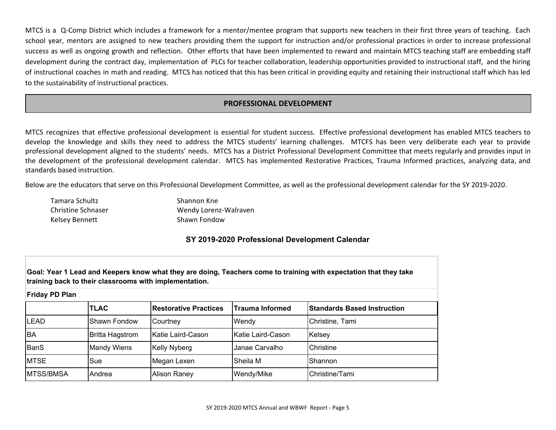MTCS is a Q-Comp District which includes a framework for a mentor/mentee program that supports new teachers in their first three years of teaching. Each school year, mentors are assigned to new teachers providing them the support for instruction and/or professional practices in order to increase professional success as well as ongoing growth and reflection. Other efforts that have been implemented to reward and maintain MTCS teaching staff are embedding staff development during the contract day, implementation of PLCs for teacher collaboration, leadership opportunities provided to instructional staff, and the hiring of instructional coaches in math and reading. MTCS has noticed that this has been critical in providing equity and retaining their instructional staff which has led to the sustainability of instructional practices.

#### **PROFESSIONAL DEVELOPMENT**

MTCS recognizes that effective professional development is essential for student success. Effective professional development has enabled MTCS teachers to develop the knowledge and skills they need to address the MTCS students' learning challenges. MTCFS has been very deliberate each year to provide professional development aligned to the students' needs. MTCS has a District Professional Development Committee that meets regularly and provides input in the development of the professional development calendar. MTCS has implemented Restorative Practices, Trauma Informed practices, analyzing data, and standards based instruction.

Below are the educators that serve on this Professional Development Committee, as well as the professional development calendar for the SY 2019-2020.

| Tamara Schultz            | Shannon Kne           |
|---------------------------|-----------------------|
| <b>Christine Schnaser</b> | Wendy Lorenz-Walraven |
| Kelsey Bennett            | Shawn Fondow          |

#### **SY 2019-2020 Professional Development Calendar**

Goal: Year 1 Lead and Keepers know what they are doing, Teachers come to training with expectation that they take **training back to their classrooms with implementation.**

| <b>Friday PD Plan</b> |                        |                              |                        |                                    |  |  |  |
|-----------------------|------------------------|------------------------------|------------------------|------------------------------------|--|--|--|
|                       | <b>TLAC</b>            | <b>Restorative Practices</b> | <b>Trauma Informed</b> | <b>Standards Based Instruction</b> |  |  |  |
| <b>LEAD</b>           | Shawn Fondow           | Courtney                     | Wendy                  | Christine, Tami                    |  |  |  |
| <b>BA</b>             | <b>Britta Hagstrom</b> | Katie Laird-Cason            | Katie Laird-Cason      | Kelsey                             |  |  |  |
| <b>BanS</b>           | <b>Mandy Wiens</b>     | <b>Kelly Nyberg</b>          | Janae Carvalho         | Christine                          |  |  |  |
| <b>MTSE</b>           | Sue                    | Megan Lexen                  | Sheila M               | Shannon                            |  |  |  |
| <b>MTSS/BMSA</b>      | Andrea                 | Alison Raney                 | Wendy/Mike             | Christine/Tami                     |  |  |  |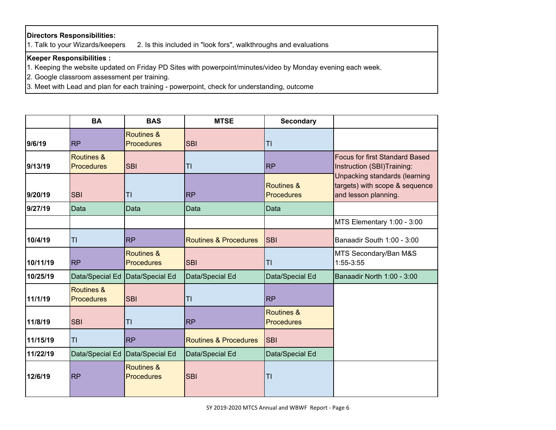# **Directors Responsibilities:**

1. Talk to your Wizards/keepers 2. Is this included in "look fors", walkthroughs and evaluations

# **Keeper Responsibilities :**

1. Keeping the website updated on Friday PD Sites with powerpoint/minutes/video by Monday evening each week.

2. Google classroom assessment per training.

3. Meet with Lead and plan for each training - powerpoint, check for understanding, outcome

|          | <b>BA</b>                       | <b>BAS</b>                                 | <b>MTSE</b>                      | <b>Secondary</b>                |                                                                                         |
|----------|---------------------------------|--------------------------------------------|----------------------------------|---------------------------------|-----------------------------------------------------------------------------------------|
| 9/6/19   | <b>RP</b>                       | Routines &<br><b>Procedures</b>            | <b>SBI</b>                       | T1                              |                                                                                         |
| 9/13/19  | Routines &<br><b>Procedures</b> | <b>SBI</b>                                 | T1                               | <b>RP</b>                       | <b>Focus for first Standard Based</b><br>Instruction (SBI)Training:                     |
| 9/20/19  | <b>SBI</b>                      | TI                                         | <b>RP</b>                        | Routines &<br><b>Procedures</b> | Unpacking standards (learning<br>targets) with scope & sequence<br>and lesson planning. |
| 9/27/19  | Data                            | Data                                       | Data                             | Data                            |                                                                                         |
|          |                                 |                                            |                                  |                                 | MTS Elementary 1:00 - 3:00                                                              |
| 10/4/19  | T <sub>l</sub>                  | <b>RP</b>                                  | <b>Routines &amp; Procedures</b> | <b>SBI</b>                      | Banaadir South 1:00 - 3:00                                                              |
| 10/11/19 | <b>RP</b>                       | Routines &<br><b>Procedures</b>            | <b>SBI</b>                       | TI                              | MTS Secondary/Ban M&S<br>1:55-3:55                                                      |
| 10/25/19 | Data/Special Ed                 | Data/Special Ed                            | Data/Special Ed                  | Data/Special Ed                 | Banaadir North 1:00 - 3:00                                                              |
| 11/1/19  | Routines &<br><b>Procedures</b> | <b>SBI</b>                                 | TI                               | <b>RP</b>                       |                                                                                         |
| 11/8/19  | <b>SBI</b>                      | TI                                         | <b>RP</b>                        | Routines &<br><b>Procedures</b> |                                                                                         |
| 11/15/19 | T <sub>l</sub>                  | <b>RP</b>                                  | <b>Routines &amp; Procedures</b> | <b>SBI</b>                      |                                                                                         |
| 11/22/19 | Data/Special Ed                 | Data/Special Ed                            | Data/Special Ed                  | Data/Special Ed                 |                                                                                         |
| 12/6/19  | <b>RP</b>                       | <b>Routines &amp;</b><br><b>Procedures</b> | <b>SBI</b>                       | TI                              |                                                                                         |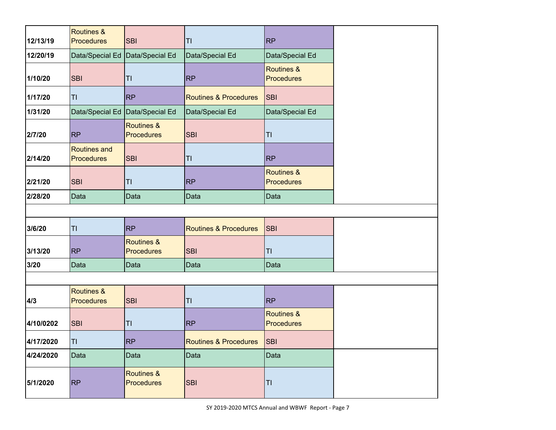| 12/13/19  | <b>Routines &amp;</b><br><b>Procedures</b> | <b>SBI</b>                                 | T1                               | <b>RP</b>                                  |
|-----------|--------------------------------------------|--------------------------------------------|----------------------------------|--------------------------------------------|
| 12/20/19  | Data/Special Ed   Data/Special Ed          |                                            | Data/Special Ed                  | Data/Special Ed                            |
| 1/10/20   | <b>SBI</b>                                 | T <sub>l</sub>                             | <b>RP</b>                        | <b>Routines &amp;</b><br><b>Procedures</b> |
| 1/17/20   | TI                                         | <b>RP</b>                                  | <b>Routines &amp; Procedures</b> | <b>SBI</b>                                 |
| 1/31/20   | Data/Special Ed   Data/Special Ed          |                                            | Data/Special Ed                  | Data/Special Ed                            |
| 2/7/20    | <b>RP</b>                                  | <b>Routines &amp;</b><br><b>Procedures</b> | <b>SBI</b>                       | TI                                         |
| 2/14/20   | <b>Routines and</b><br><b>Procedures</b>   | <b>SBI</b>                                 | T1                               | <b>RP</b>                                  |
| 2/21/20   | <b>SBI</b>                                 | TI                                         | <b>RP</b>                        | <b>Routines &amp;</b><br><b>Procedures</b> |
| 2/28/20   | Data                                       | Data                                       | Data                             | Data                                       |
|           |                                            |                                            |                                  |                                            |
| 3/6/20    | TI                                         | <b>RP</b>                                  | <b>Routines &amp; Procedures</b> | <b>SBI</b>                                 |
| 3/13/20   | <b>RP</b>                                  | <b>Routines &amp;</b><br><b>Procedures</b> | <b>SBI</b>                       | TI                                         |
| 3/20      | Data                                       | Data                                       | Data                             | Data                                       |
|           |                                            |                                            |                                  |                                            |
| 4/3       | <b>Routines &amp;</b><br><b>Procedures</b> | <b>SBI</b>                                 | T1                               | <b>RP</b>                                  |
| 4/10/0202 | <b>SBI</b>                                 | T1                                         | <b>RP</b>                        | <b>Routines &amp;</b><br><b>Procedures</b> |
| 4/17/2020 | T <sub>l</sub>                             | <b>RP</b>                                  | <b>Routines &amp; Procedures</b> | <b>SBI</b>                                 |
| 4/24/2020 | Data                                       | Data                                       | Data                             | Data                                       |
| 5/1/2020  | <b>RP</b>                                  | Routines &<br><b>Procedures</b>            | <b>SBI</b>                       | TI                                         |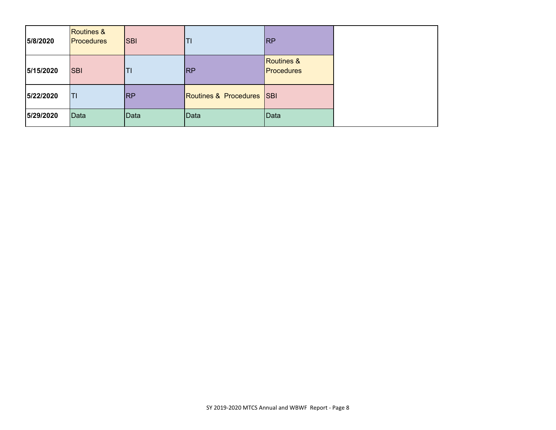| 5/8/2020  | <b>Routines &amp;</b><br><b>Procedures</b> | <b>SBI</b> | TI                        | <b>RP</b>                                  |
|-----------|--------------------------------------------|------------|---------------------------|--------------------------------------------|
| 5/15/2020 | <b>SBI</b>                                 | TI         | <b>RP</b>                 | <b>Routines &amp;</b><br><b>Procedures</b> |
| 5/22/2020 | T1                                         | <b>RP</b>  | Routines & Procedures SBI |                                            |
| 5/29/2020 | Data                                       | Data       | Data                      | Data                                       |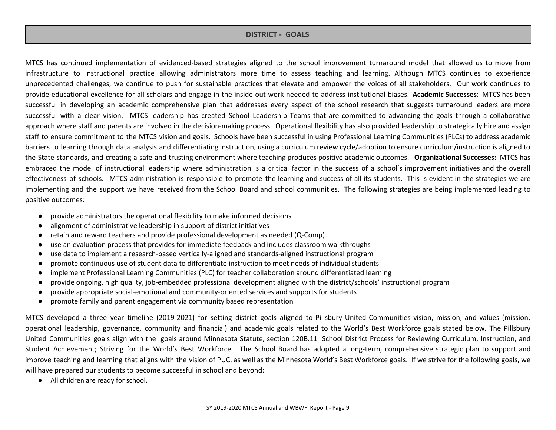#### **DISTRICT - GOALS**

MTCS has continued implementation of evidenced-based strategies aligned to the school improvement turnaround model that allowed us to move from infrastructure to instructional practice allowing administrators more time to assess teaching and learning. Although MTCS continues to experience unprecedented challenges, we continue to push for sustainable practices that elevate and empower the voices of all stakeholders. Our work continues to provide educational excellence for all scholars and engage in the inside out work needed to address institutional biases. **Academic Successes**: MTCS has been successful in developing an academic comprehensive plan that addresses every aspect of the school research that suggests turnaround leaders are more successful with a clear vision. MTCS leadership has created School Leadership Teams that are committed to advancing the goals through a collaborative approach where staff and parents are involved in the decision-making process. Operational flexibility has also provided leadership to strategically hire and assign staff to ensure commitment to the MTCS vision and goals. Schools have been successful in using Professional Learning Communities (PLCs) to address academic barriers to learning through data analysis and differentiating instruction, using a curriculum review cycle/adoption to ensure curriculum/instruction is aligned to the State standards, and creating a safe and trusting environment where teaching produces positive academic outcomes. **Organizational Successes:** MTCS has embraced the model of instructional leadership where administration is a critical factor in the success of a school's improvement initiatives and the overall effectiveness of schools. MTCS administration is responsible to promote the learning and success of all its students. This is evident in the strategies we are implementing and the support we have received from the School Board and school communities. The following strategies are being implemented leading to positive outcomes:

- provide administrators the operational flexibility to make informed decisions
- alignment of administrative leadership in support of district initiatives
- retain and reward teachers and provide professional development as needed (Q-Comp)
- use an evaluation process that provides for immediate feedback and includes classroom walkthroughs
- use data to implement a research-based vertically-aligned and standards-aligned instructional program
- promote continuous use of student data to differentiate instruction to meet needs of individual students
- implement Professional Learning Communities (PLC) for teacher collaboration around differentiated learning
- provide ongoing, high quality, job-embedded professional development aligned with the district/schools' instructional program
- provide appropriate social-emotional and community-oriented services and supports for students
- promote family and parent engagement via community based representation

MTCS developed a three year timeline (2019-2021) for setting district goals aligned to Pillsbury United Communities vision, mission, and values (mission, operational leadership, governance, community and financial) and academic goals related to the World's Best Workforce goals stated below. The Pillsbury United Communities goals align with the goals around Minnesota Statute, section 120B.11 School District Process for Reviewing Curriculum, Instruction, and Student Achievement; Striving for the World's Best Workforce. The School Board has adopted a long-term, comprehensive strategic plan to support and improve teaching and learning that aligns with the vision of PUC, as well as the Minnesota World's Best Workforce goals. If we strive for the following goals, we will have prepared our students to become successful in school and beyond:

● All children are ready for school.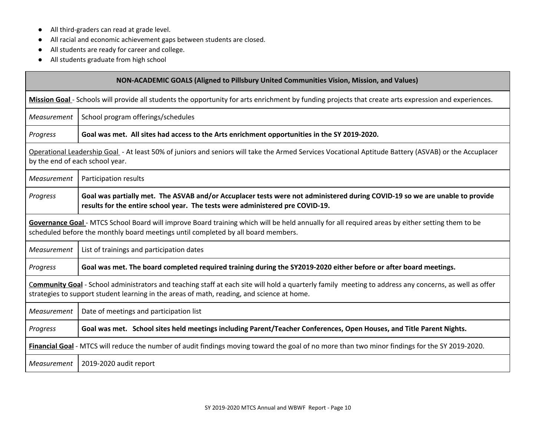- All third-graders can read at grade level.
- All racial and economic achievement gaps between students are closed.
- All students are ready for career and college.
- All students graduate from high school

| <b>NON-ACADEMIC GOALS (Aligned to Pillsbury United Communities Vision, Mission, and Values)</b> |                                                                                                                                                                                                                                                     |  |  |  |  |  |
|-------------------------------------------------------------------------------------------------|-----------------------------------------------------------------------------------------------------------------------------------------------------------------------------------------------------------------------------------------------------|--|--|--|--|--|
|                                                                                                 | Mission Goal - Schools will provide all students the opportunity for arts enrichment by funding projects that create arts expression and experiences.                                                                                               |  |  |  |  |  |
| Measurement                                                                                     | School program offerings/schedules                                                                                                                                                                                                                  |  |  |  |  |  |
| Progress                                                                                        | Goal was met. All sites had access to the Arts enrichment opportunities in the SY 2019-2020.                                                                                                                                                        |  |  |  |  |  |
|                                                                                                 | Operational Leadership Goal - At least 50% of juniors and seniors will take the Armed Services Vocational Aptitude Battery (ASVAB) or the Accuplacer<br>by the end of each school year.                                                             |  |  |  |  |  |
| Measurement                                                                                     | Participation results                                                                                                                                                                                                                               |  |  |  |  |  |
| Progress                                                                                        | Goal was partially met. The ASVAB and/or Accuplacer tests were not administered during COVID-19 so we are unable to provide<br>results for the entire school year. The tests were administered pre COVID-19.                                        |  |  |  |  |  |
|                                                                                                 | Governance Goal - MTCS School Board will improve Board training which will be held annually for all required areas by either setting them to be<br>scheduled before the monthly board meetings until completed by all board members.                |  |  |  |  |  |
| Measurement                                                                                     | List of trainings and participation dates                                                                                                                                                                                                           |  |  |  |  |  |
| Progress                                                                                        | Goal was met. The board completed required training during the SY2019-2020 either before or after board meetings.                                                                                                                                   |  |  |  |  |  |
|                                                                                                 | Community Goal - School administrators and teaching staff at each site will hold a quarterly family meeting to address any concerns, as well as offer<br>strategies to support student learning in the areas of math, reading, and science at home. |  |  |  |  |  |
| Measurement                                                                                     | Date of meetings and participation list                                                                                                                                                                                                             |  |  |  |  |  |
| Progress                                                                                        | Goal was met. School sites held meetings including Parent/Teacher Conferences, Open Houses, and Title Parent Nights.                                                                                                                                |  |  |  |  |  |
|                                                                                                 | Financial Goal - MTCS will reduce the number of audit findings moving toward the goal of no more than two minor findings for the SY 2019-2020.                                                                                                      |  |  |  |  |  |
| Measurement                                                                                     | 2019-2020 audit report                                                                                                                                                                                                                              |  |  |  |  |  |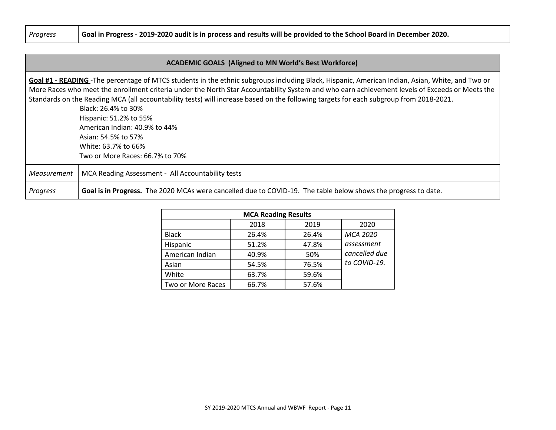Progress Goal in Progress - 2019-2020 audit is in process and results will be provided to the School Board in December 2020.

#### **ACADEMIC GOALS (Aligned to MN World's Best Workforce)**

**Goal #1 - READING** -The percentage of MTCS students in the ethnic subgroups including Black, Hispanic, American Indian, Asian, White, and Two or More Races who meet the enrollment criteria under the North Star Accountability System and who earn achievement levels of Exceeds or Meets the Standards on the Reading MCA (all accountability tests) will increase based on the following targets for each subgroup from 2018-2021.

> Black: 26.4% to 30% Hispanic: 51.2% to 55% American Indian: 40.9% to 44% Asian: 54.5% to 57% White: 63.7% to 66% Two or More Races: 66.7% to 70%

# *Measurement* | MCA Reading Assessment - All Accountability tests *Progress* **Goal is in Progress.** The 2020 MCAs were cancelled due to COVID-19. The table below shows the progress to date.

| <b>MCA Reading Results</b> |       |       |               |  |  |  |
|----------------------------|-------|-------|---------------|--|--|--|
|                            | 2018  | 2019  | 2020          |  |  |  |
| <b>Black</b>               | 26.4% | 26.4% | MCA 2020      |  |  |  |
| Hispanic                   | 51.2% | 47.8% | assessment    |  |  |  |
| American Indian            | 40.9% | 50%   | cancelled due |  |  |  |
| Asian                      | 54.5% | 76.5% | to COVID-19.  |  |  |  |
| White                      | 63.7% | 59.6% |               |  |  |  |
| Two or More Races          | 66.7% | 57.6% |               |  |  |  |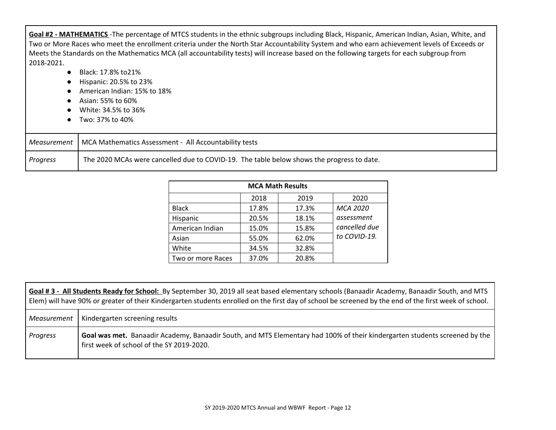**Goal #2 - MATHEMATICS** -The percentage of MTCS students in the ethnic subgroups including Black, Hispanic, American Indian, Asian, White, and Two or More Races who meet the enrollment criteria under the North Star Accountability System and who earn achievement levels of Exceeds or Meets the Standards on the Mathematics MCA (all accountability tests) will increase based on the following targets for each subgroup from 2018-2021.

- Black: 17.8% to 21%
- Hispanic: 20.5% to 23%
- American Indian: 15% to 18%
- Asian: 55% to 60%
- White: 34.5% to 36%
- Two: 37% to 40%

|          | Measurement   MCA Mathematics Assessment - All Accountability tests                       |
|----------|-------------------------------------------------------------------------------------------|
| Progress | The 2020 MCAs were cancelled due to COVID-19. The table below shows the progress to date. |

| <b>MCA Math Results</b> |       |       |                 |  |  |  |
|-------------------------|-------|-------|-----------------|--|--|--|
|                         | 2018  | 2019  | 2020            |  |  |  |
| <b>Black</b>            | 17.8% | 17.3% | <b>MCA 2020</b> |  |  |  |
| Hispanic                | 20.5% | 18.1% | assessment      |  |  |  |
| American Indian         | 15.0% | 15.8% | cancelled due   |  |  |  |
| Asian                   | 55.0% | 62.0% | to COVID-19.    |  |  |  |
| White                   | 34.5% | 32.8% |                 |  |  |  |
| Two or more Races       | 37.0% | 20.8% |                 |  |  |  |

| Goal #3 - All Students Ready for School: By September 30, 2019 all seat based elementary schools (Banaadir Academy, Banaadir South, and MTS<br>Elem) will have 90% or greater of their Kindergarten students enrolled on the first day of school be screened by the end of the first week of school. |                                                                                                                                                                         |  |  |  |  |
|------------------------------------------------------------------------------------------------------------------------------------------------------------------------------------------------------------------------------------------------------------------------------------------------------|-------------------------------------------------------------------------------------------------------------------------------------------------------------------------|--|--|--|--|
| Measurement                                                                                                                                                                                                                                                                                          | Kindergarten screening results                                                                                                                                          |  |  |  |  |
| Progress                                                                                                                                                                                                                                                                                             | Goal was met. Banaadir Academy, Banaadir South, and MTS Elementary had 100% of their kindergarten students screened by the<br>first week of school of the SY 2019-2020. |  |  |  |  |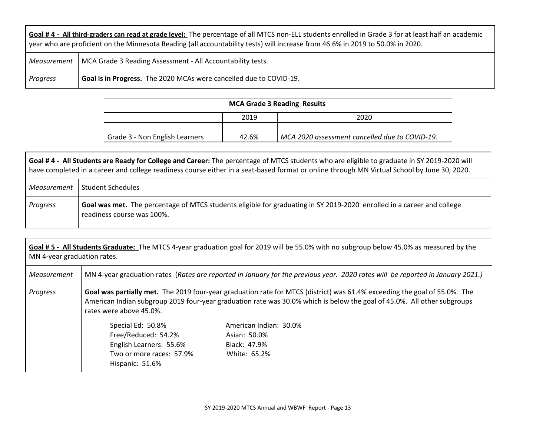| Goal #4 - All third-graders can read at grade level: The percentage of all MTCS non-ELL students enrolled in Grade 3 for at least half an academic<br>year who are proficient on the Minnesota Reading (all accountability tests) will increase from 46.6% in 2019 to 50.0% in 2020. |                                                                         |  |  |  |
|--------------------------------------------------------------------------------------------------------------------------------------------------------------------------------------------------------------------------------------------------------------------------------------|-------------------------------------------------------------------------|--|--|--|
|                                                                                                                                                                                                                                                                                      | Measurement   MCA Grade 3 Reading Assessment - All Accountability tests |  |  |  |
| Progress                                                                                                                                                                                                                                                                             | Goal is in Progress. The 2020 MCAs were cancelled due to COVID-19.      |  |  |  |

| <b>MCA Grade 3 Reading Results</b> |       |                                                |  |  |  |  |
|------------------------------------|-------|------------------------------------------------|--|--|--|--|
| 2020<br>2019                       |       |                                                |  |  |  |  |
|                                    |       |                                                |  |  |  |  |
| Grade 3 - Non English Learners     | 42.6% | MCA 2020 assessment cancelled due to COVID-19. |  |  |  |  |

|             | Goal #4 - All Students are Ready for College and Career: The percentage of MTCS students who are eligible to graduate in SY 2019-2020 will<br>have completed in a career and college readiness course either in a seat-based format or online through MN Virtual School by June 30, 2020. |  |  |  |  |
|-------------|-------------------------------------------------------------------------------------------------------------------------------------------------------------------------------------------------------------------------------------------------------------------------------------------|--|--|--|--|
| Measurement | <b>Student Schedules</b>                                                                                                                                                                                                                                                                  |  |  |  |  |
| Progress    | Goal was met. The percentage of MTCS students eligible for graduating in SY 2019-2020 enrolled in a career and college<br>readiness course was 100%.                                                                                                                                      |  |  |  |  |

| Goal #5 - All Students Graduate: The MTCS 4-year graduation goal for 2019 will be 55.0% with no subgroup below 45.0% as measured by the<br>MN 4-year graduation rates. |                                                                                                                                                                                                                                                                                 |              |  |  |  |  |  |
|------------------------------------------------------------------------------------------------------------------------------------------------------------------------|---------------------------------------------------------------------------------------------------------------------------------------------------------------------------------------------------------------------------------------------------------------------------------|--------------|--|--|--|--|--|
| Measurement                                                                                                                                                            | MN 4-year graduation rates (Rates are reported in January for the previous year. 2020 rates will be reported in January 2021.)                                                                                                                                                  |              |  |  |  |  |  |
| Progress                                                                                                                                                               | Goal was partially met. The 2019 four-year graduation rate for MTCS (district) was 61.4% exceeding the goal of 55.0%. The<br>American Indian subgroup 2019 four-year graduation rate was 30.0% which is below the goal of 45.0%. All other subgroups<br>rates were above 45.0%. |              |  |  |  |  |  |
|                                                                                                                                                                        | Special Ed: 50.8%<br>American Indian: 30.0%<br>Free/Reduced: 54.2%<br>Asian: 50.0%                                                                                                                                                                                              |              |  |  |  |  |  |
| English Learners: 55.6%<br>Black: 47.9%                                                                                                                                |                                                                                                                                                                                                                                                                                 |              |  |  |  |  |  |
|                                                                                                                                                                        | Two or more races: 57.9%<br>Hispanic: 51.6%                                                                                                                                                                                                                                     | White: 65.2% |  |  |  |  |  |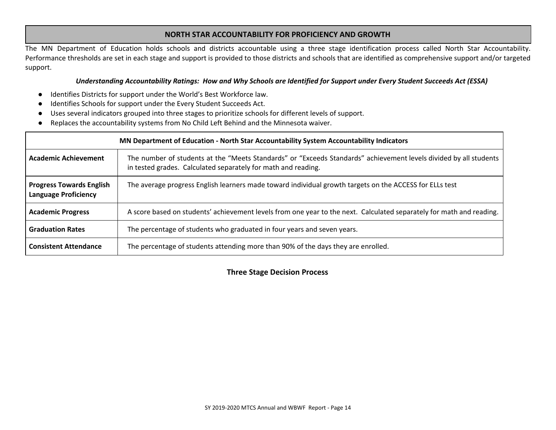#### **NORTH STAR ACCOUNTABILITY FOR PROFICIENCY AND GROWTH**

The MN Department of Education holds schools and districts accountable using a three stage identification process called North Star Accountability. Performance thresholds are set in each stage and support is provided to those districts and schools that are identified as comprehensive support and/or targeted support.

#### Understanding Accountability Ratings: How and Why Schools are Identified for Support under Every Student Succeeds Act (ESSA)

- Identifies Districts for support under the World's Best Workforce law.
- Identifies Schools for support under the Every Student Succeeds Act.
- Uses several indicators grouped into three stages to prioritize schools for different levels of support.
- Replaces the accountability systems from No Child Left Behind and the Minnesota waiver.

|                                                                | MN Department of Education - North Star Accountability System Accountability Indicators                                                                                            |
|----------------------------------------------------------------|------------------------------------------------------------------------------------------------------------------------------------------------------------------------------------|
| <b>Academic Achievement</b>                                    | The number of students at the "Meets Standards" or "Exceeds Standards" achievement levels divided by all students<br>in tested grades. Calculated separately for math and reading. |
| <b>Progress Towards English</b><br><b>Language Proficiency</b> | The average progress English learners made toward individual growth targets on the ACCESS for ELLs test                                                                            |
| <b>Academic Progress</b>                                       | A score based on students' achievement levels from one year to the next. Calculated separately for math and reading.                                                               |
| <b>Graduation Rates</b>                                        | The percentage of students who graduated in four years and seven years.                                                                                                            |
| <b>Consistent Attendance</b>                                   | The percentage of students attending more than 90% of the days they are enrolled.                                                                                                  |

**Three Stage Decision Process**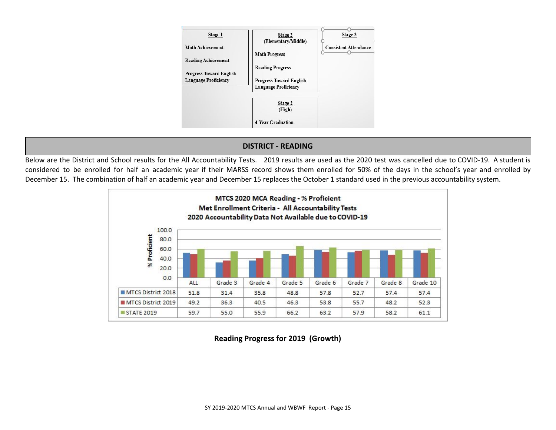

# **DISTRICT - READING**

Below are the District and School results for the All Accountability Tests. 2019 results are used as the 2020 test was cancelled due to COVID-19. A student is considered to be enrolled for half an academic year if their MARSS record shows them enrolled for 50% of the days in the school's year and enrolled by December 15. The combination of half an academic year and December 15 replaces the October 1 standard used in the previous accountability system.



**Reading Progress for 2019 (Growth)**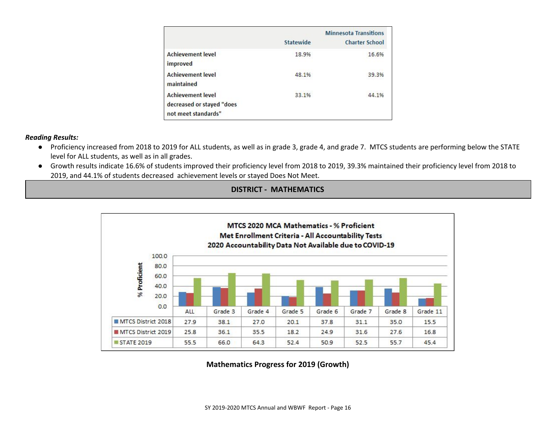|                                                                              | Statewide | <b>Minnesota Transitions</b><br><b>Charter School</b> |
|------------------------------------------------------------------------------|-----------|-------------------------------------------------------|
| <b>Achievement level</b><br>improved                                         | 18.9%     | 16.6%                                                 |
| <b>Achievement level</b><br>maintained                                       | 48.1%     | 39.3%                                                 |
| <b>Achievement level</b><br>decreased or stayed "does<br>not meet standards" | 33.1%     | 44.1%                                                 |

#### *Reading Results:*

- Proficiency increased from 2018 to 2019 for ALL students, as well as in grade 3, grade 4, and grade 7. MTCS students are performing below the STATE level for ALL students, as well as in all grades.
- Growth results indicate 16.6% of students improved their proficiency level from 2018 to 2019, 39.3% maintained their proficiency level from 2018 to 2019, and 44.1% of students decreased achievement levels or stayed Does Not Meet.





**Mathematics Progress for 2019 (Growth)**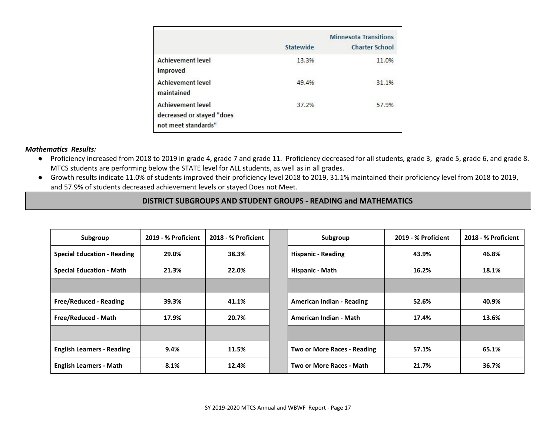|                                                                              | Statewide | <b>Minnesota Transitions</b><br><b>Charter School</b> |
|------------------------------------------------------------------------------|-----------|-------------------------------------------------------|
| <b>Achievement level</b><br>improved                                         | 13.3%     | 11.0%                                                 |
| <b>Achievement level</b><br>maintained                                       | 49.4%     | 31.1%                                                 |
| <b>Achievement level</b><br>decreased or stayed "does<br>not meet standards" | 37.2%     | 57.9%                                                 |

#### *Mathematics Results:*

- Proficiency increased from 2018 to 2019 in grade 4, grade 7 and grade 11. Proficiency decreased for all students, grade 3, grade 5, grade 6, and grade 8. MTCS students are performing below the STATE level for ALL students, as well as in all grades.
- Growth results indicate 11.0% of students improved their proficiency level 2018 to 2019, 31.1% maintained their proficiency level from 2018 to 2019, and 57.9% of students decreased achievement levels or stayed Does not Meet.

# **DISTRICT SUBGROUPS AND STUDENT GROUPS - READING and MATHEMATICS**

| Subgroup                           | 2019 - % Proficient | 2018 - % Proficient | Subgroup                      | 2019 - % Proficient | 2018 - % Proficient |
|------------------------------------|---------------------|---------------------|-------------------------------|---------------------|---------------------|
| <b>Special Education - Reading</b> | 29.0%               | 38.3%               | <b>Hispanic - Reading</b>     | 43.9%               | 46.8%               |
| <b>Special Education - Math</b>    | 21.3%               | 22.0%               | Hispanic - Math               | 16.2%               | 18.1%               |
|                                    |                     |                     |                               |                     |                     |
| <b>Free/Reduced - Reading</b>      | 39.3%               | 41.1%               | American Indian - Reading     | 52.6%               | 40.9%               |
| Free/Reduced - Math                | 17.9%               | 20.7%               | <b>American Indian - Math</b> | 17.4%               | 13.6%               |
|                                    |                     |                     |                               |                     |                     |
| <b>English Learners - Reading</b>  | 9.4%                | 11.5%               | Two or More Races - Reading   | 57.1%               | 65.1%               |
| <b>English Learners - Math</b>     | 8.1%                | 12.4%               | Two or More Races - Math      | 21.7%               | 36.7%               |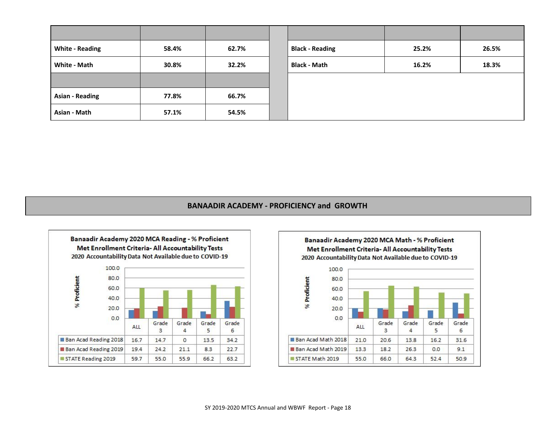| <b>White - Reading</b> | 58.4% | 62.7% | <b>Black - Reading</b> | 25.2% | 26.5% |
|------------------------|-------|-------|------------------------|-------|-------|
| White - Math           | 30.8% | 32.2% | <b>Black - Math</b>    | 16.2% | 18.3% |
|                        |       |       |                        |       |       |
| <b>Asian - Reading</b> | 77.8% | 66.7% |                        |       |       |
| Asian - Math           | 57.1% | 54.5% |                        |       |       |

# **BANAADIR ACADEMY - PROFICIENCY and GROWTH**



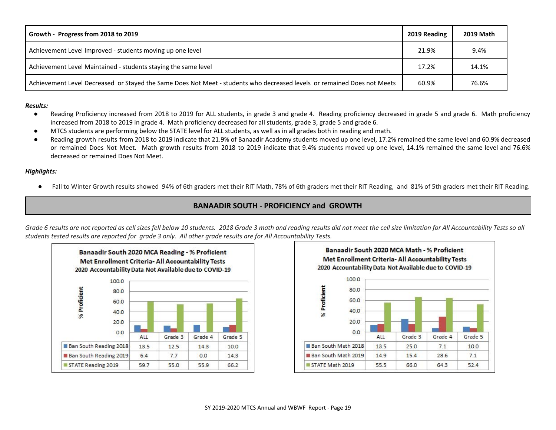| Growth - Progress from 2018 to 2019                                                                                     | 2019 Reading | <b>2019 Math</b> |
|-------------------------------------------------------------------------------------------------------------------------|--------------|------------------|
| Achievement Level Improved - students moving up one level                                                               | 21.9%        | 9.4%             |
| Achievement Level Maintained - students staying the same level                                                          | 17.2%        | 14.1%            |
| Achievement Level Decreased or Stayed the Same Does Not Meet - students who decreased levels or remained Does not Meets | 60.9%        | 76.6%            |

#### *Results:*

- Reading Proficiency increased from 2018 to 2019 for ALL students, in grade 3 and grade 4. Reading proficiency decreased in grade 5 and grade 6. Math proficiency increased from 2018 to 2019 in grade 4. Math proficiency decreased for all students, grade 3, grade 5 and grade 6.
- MTCS students are performing below the STATE level for ALL students, as well as in all grades both in reading and math.
- Reading growth results from 2018 to 2019 indicate that 21.9% of Banaadir Academy students moved up one level, 17.2% remained the same level and 60.9% decreased or remained Does Not Meet. Math growth results from 2018 to 2019 indicate that 9.4% students moved up one level, 14.1% remained the same level and 76.6% decreased or remained Does Not Meet.

#### *Highlights:*

● Fall to Winter Growth results showed 94% of 6th graders met their RIT Math, 78% of 6th graders met their RIT Reading, and 81% of 5th graders met their RIT Reading.

# **BANAADIR SOUTH - PROFICIENCY and GROWTH**

Grade 6 results are not reported as cell sizes fell below 10 students. 2018 Grade 3 math and reading results did not meet the cell size limitation for All Accountability Tests so all students tested results are reported for grade 3 only. All other grade results are for All Accountability Tests.



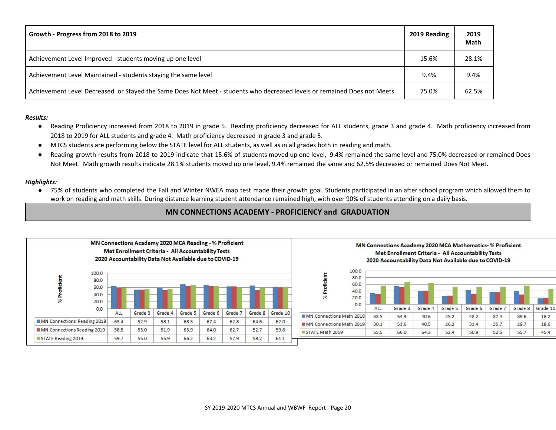| Growth - Progress from 2018 to 2019                                                                                     | 2019 Reading | 2019<br><b>Math</b> |
|-------------------------------------------------------------------------------------------------------------------------|--------------|---------------------|
| Achievement Level Improved - students moving up one level                                                               | 15.6%        | 28.1%               |
| Achievement Level Maintained - students staying the same level                                                          | 9.4%         | 9.4%                |
| Achievement Level Decreased or Stayed the Same Does Not Meet - students who decreased levels or remained Does not Meets | 75.0%        | 62.5%               |

#### *Results:*

- Reading Proficiency increased from 2018 to 2019 in grade 5. Reading proficiency decreased for ALL students, grade 3 and grade 4. Math proficiency increased from 2018 to 2019 for ALL students and grade 4. Math proficiency decreased in grade 3 and grade 5.
- MTCS students are performing below the STATE level for ALL students, as well as in all grades both in reading and math.
- Reading growth results from 2018 to 2019 indicate that 15.6% of students moved up one level, 9.4% remained the same level and 75.0% decreased or remained Does Not Meet. Math growth results indicate 28.1% students moved up one level, 9.4% remained the same and 62.5% decreased or remained Does Not Meet.

#### *Highlights:*

● 75% of students who completed the Fall and Winter NWEA map test made their growth goal. Students participated in an after school program which allowed them to work on reading and math skills. During distance learning student attendance remained high, with over 90% of students attending on a daily basis.

# **MN CONNECTIONS ACADEMY - PROFICIENCY and GRADUATION**

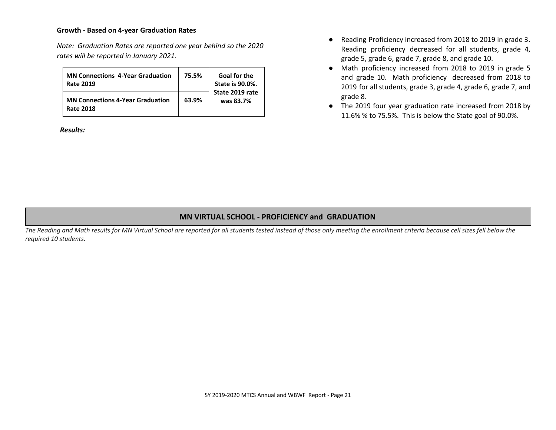#### **Growth - Based on 4-year Graduation Rates**

*Note: Graduation Rates are reported one year behind so the 2020 rates will be reported in January 2021.*

| <b>MN Connections 4-Year Graduation</b><br><b>Rate 2019</b> | 75.5% | <b>Goal for the</b><br><b>State is 90.0%.</b><br>State 2019 rate<br>was 83.7% |
|-------------------------------------------------------------|-------|-------------------------------------------------------------------------------|
| <b>MN Connections 4-Year Graduation</b><br><b>Rate 2018</b> | 63.9% |                                                                               |

*Results:*

- Reading Proficiency increased from 2018 to 2019 in grade 3. Reading proficiency decreased for all students, grade 4, grade 5, grade 6, grade 7, grade 8, and grade 10.
- Math proficiency increased from 2018 to 2019 in grade 5 and grade 10. Math proficiency decreased from 2018 to 2019 for all students, grade 3, grade 4, grade 6, grade 7, and grade 8.
- The 2019 four year graduation rate increased from 2018 by 11.6% % to 75.5%. This is below the State goal of 90.0%.

#### **MN VIRTUAL SCHOOL - PROFICIENCY and GRADUATION**

The Reading and Math results for MN Virtual School are reported for all students tested instead of those only meeting the enrollment criteria because cell sizes fell below the *required 10 students.*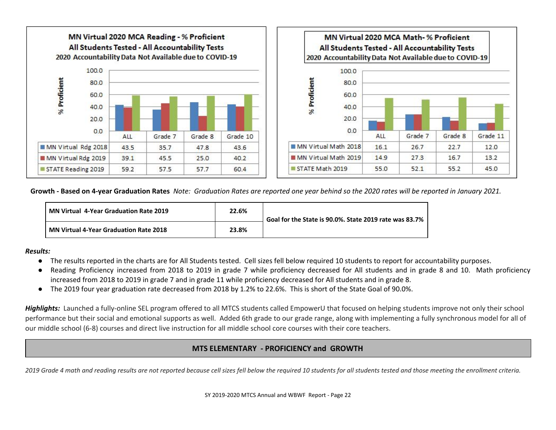

Growth - Based on 4-year Graduation Rates Note: Graduation Rates are reported one year behind so the 2020 rates will be reported in January 2021.

| MN Virtual 4-Year Graduation Rate 2019 | 22.6% | Goal for the State is 90.0%. State 2019 rate was 83.7% |
|----------------------------------------|-------|--------------------------------------------------------|
| MN Virtual 4-Year Graduation Rate 2018 | 23.8% |                                                        |

#### *Results:*

- The results reported in the charts are for All Students tested. Cell sizes fell below required 10 students to report for accountability purposes.
- Reading Proficiency increased from 2018 to 2019 in grade 7 while proficiency decreased for All students and in grade 8 and 10. Math proficiency increased from 2018 to 2019 in grade 7 and in grade 11 while proficiency decreased for All students and in grade 8.
- The 2019 four year graduation rate decreased from 2018 by 1.2% to 22.6%. This is short of the State Goal of 90.0%.

Highlights: Launched a fully-online SEL program offered to all MTCS students called EmpowerU that focused on helping students improve not only their school performance but their social and emotional supports as well. Added 6th grade to our grade range, along with implementing a fully synchronous model for all of our middle school (6-8) courses and direct live instruction for all middle school core courses with their core teachers.

# **MTS ELEMENTARY - PROFICIENCY and GROWTH**

2019 Grade 4 math and reading results are not reported because cell sizes fell below the required 10 students for all students tested and those meeting the enrollment criteria.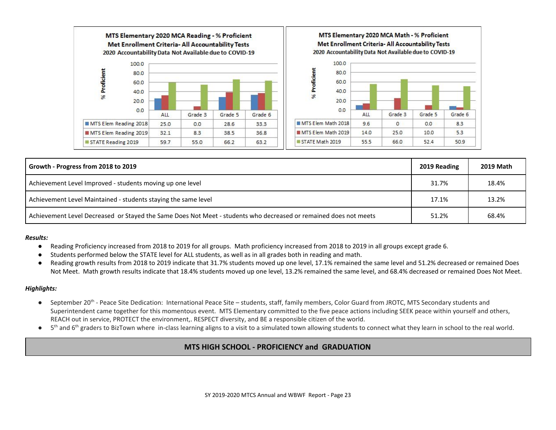

| Growth - Progress from 2018 to 2019                                                                              | 2019 Reading | <b>2019 Math</b> |
|------------------------------------------------------------------------------------------------------------------|--------------|------------------|
| Achievement Level Improved - students moving up one level                                                        | 31.7%        | 18.4%            |
| Achievement Level Maintained - students staying the same level                                                   | 17.1%        | 13.2%            |
| Achievement Level Decreased or Stayed the Same Does Not Meet - students who decreased or remained does not meets | 51.2%        | 68.4%            |

#### *Results:*

- Reading Proficiency increased from 2018 to 2019 for all groups. Math proficiency increased from 2018 to 2019 in all groups except grade 6.
- Students performed below the STATE level for ALL students, as well as in all grades both in reading and math.
- Reading growth results from 2018 to 2019 indicate that 31.7% students moved up one level, 17.1% remained the same level and 51.2% decreased or remained Does Not Meet. Math growth results indicate that 18.4% students moved up one level, 13.2% remained the same level, and 68.4% decreased or remained Does Not Meet.

#### *Highlights:*

- September 20<sup>th</sup> Peace Site Dedication: International Peace Site students, staff, family members, Color Guard from JROTC, MTS Secondary students and Superintendent came together for this momentous event. MTS Elementary committed to the five peace actions including SEEK peace within yourself and others, REACH out in service, PROTECT the environment,. RESPECT diversity, and BE a responsible citizen of the world.
- 5<sup>th</sup> and 6<sup>th</sup> graders to BizTown where in-class learning aligns to a visit to a simulated town allowing students to connect what they learn in school to the real world.

# **MTS HIGH SCHOOL - PROFICIENCY and GRADUATION**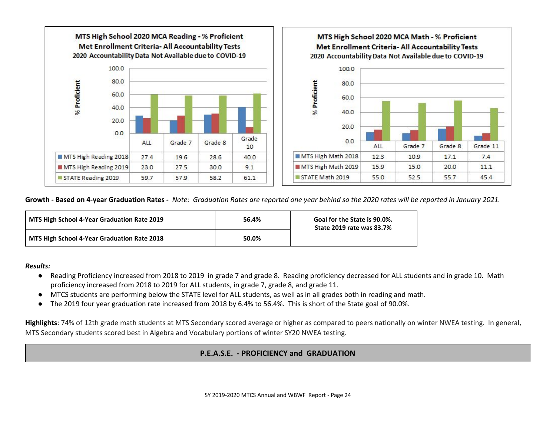

Growth - Based on 4-year Graduation Rates - Note: Graduation Rates are reported one year behind so the 2020 rates will be reported in January 2021.

| MTS High School 4-Year Graduation Rate 2019 | 56.4% | Goal for the State is 90.0%.<br><b>State 2019 rate was 83.7%</b> |  |
|---------------------------------------------|-------|------------------------------------------------------------------|--|
| MTS High School 4-Year Graduation Rate 2018 | 50.0% |                                                                  |  |

#### *Results:*

- Reading Proficiency increased from 2018 to 2019 in grade 7 and grade 8. Reading proficiency decreased for ALL students and in grade 10. Math proficiency increased from 2018 to 2019 for ALL students, in grade 7, grade 8, and grade 11.
- MTCS students are performing below the STATE level for ALL students, as well as in all grades both in reading and math.
- The 2019 four year graduation rate increased from 2018 by 6.4% to 56.4%. This is short of the State goal of 90.0%.

**Highlights**: 74% of 12th grade math students at MTS Secondary scored average or higher as compared to peers nationally on winter NWEA testing. In general, MTS Secondary students scored best in Algebra and Vocabulary portions of winter SY20 NWEA testing.

# **P.E.A.S.E. - PROFICIENCY and GRADUATION**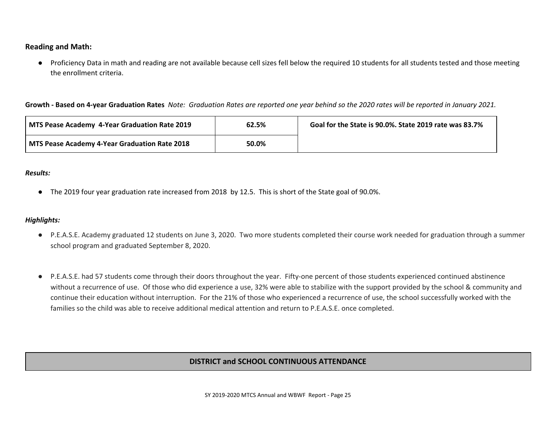**Reading and Math:**

● Proficiency Data in math and reading are not available because cell sizes fell below the required 10 students for all students tested and those meeting the enrollment criteria.

Growth - Based on 4-year Graduation Rates Note: Graduation Rates are reported one year behind so the 2020 rates will be reported in January 2021.

| MTS Pease Academy 4-Year Graduation Rate 2019 | 62.5% | Goal for the State is 90.0%. State 2019 rate was 83.7% |
|-----------------------------------------------|-------|--------------------------------------------------------|
| MTS Pease Academy 4-Year Graduation Rate 2018 | 50.0% |                                                        |

#### *Results:*

● The 2019 four year graduation rate increased from 2018 by 12.5. This is short of the State goal of 90.0%.

#### *Highlights:*

- P.E.A.S.E. Academy graduated 12 students on June 3, 2020. Two more students completed their course work needed for graduation through a summer school program and graduated September 8, 2020.
- P.E.A.S.E. had 57 students come through their doors throughout the year. Fifty-one percent of those students experienced continued abstinence without a recurrence of use. Of those who did experience a use, 32% were able to stabilize with the support provided by the school & community and continue their education without interruption. For the 21% of those who experienced a recurrence of use, the school successfully worked with the families so the child was able to receive additional medical attention and return to P.E.A.S.E. once completed.

# **DISTRICT and SCHOOL CONTINUOUS ATTENDANCE**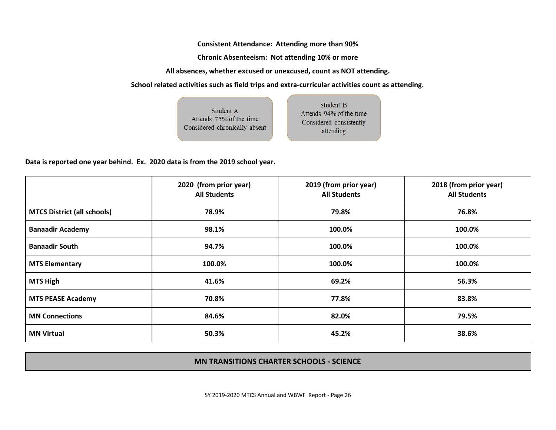**Consistent Attendance: Attending more than 90%**

**Chronic Absenteeism: Not attending 10% or more**

**All absences, whether excused or unexcused, count as NOT attending.**

**School related activities such as field trips and extra-curricular activities count as attending.**

Student B

attending

Student A Attends 94% of the time Attends 75% of the time Considered consistently Considered chronically absent

**Data is reported one year behind. Ex. 2020 data is from the 2019 school year.**

|                                    | 2020 (from prior year)<br><b>All Students</b> | 2019 (from prior year)<br><b>All Students</b> | 2018 (from prior year)<br><b>All Students</b> |
|------------------------------------|-----------------------------------------------|-----------------------------------------------|-----------------------------------------------|
| <b>MTCS District (all schools)</b> | 78.9%                                         | 79.8%                                         | 76.8%                                         |
| <b>Banaadir Academy</b>            | 98.1%                                         | 100.0%                                        | 100.0%                                        |
| <b>Banaadir South</b>              | 94.7%                                         | 100.0%                                        | 100.0%                                        |
| <b>MTS Elementary</b>              | 100.0%                                        | 100.0%                                        | 100.0%                                        |
| <b>MTS High</b>                    | 41.6%                                         | 69.2%                                         | 56.3%                                         |
| <b>MTS PEASE Academy</b>           | 70.8%                                         | 77.8%                                         | 83.8%                                         |
| <b>MN Connections</b>              | 84.6%                                         | 82.0%                                         | 79.5%                                         |
| <b>MN Virtual</b>                  | 50.3%                                         | 45.2%                                         | 38.6%                                         |

# **MN TRANSITIONS CHARTER SCHOOLS - SCIENCE**